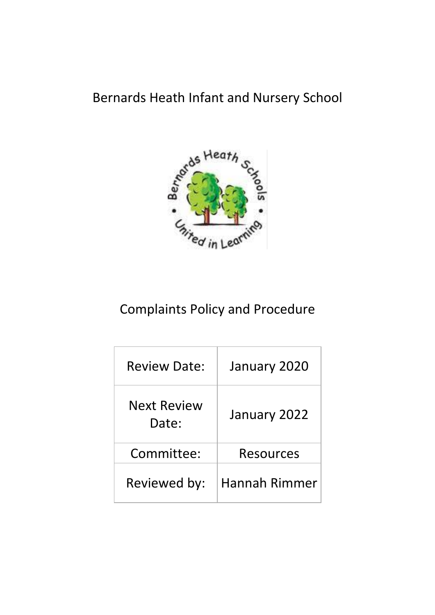# Bernards Heath Infant and Nursery School



# Complaints Policy and Procedure

| <b>Review Date:</b>  | January 2020  |
|----------------------|---------------|
| Next Review<br>Date: | January 2022  |
| Committee:           | Resources     |
| Reviewed by:         | Hannah Rimmer |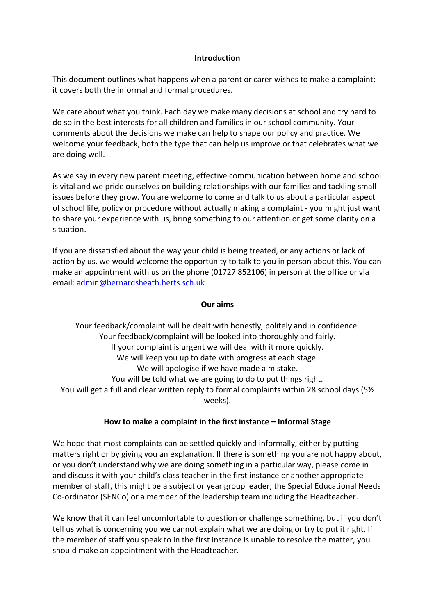## **Introduction**

This document outlines what happens when a parent or carer wishes to make a complaint; it covers both the informal and formal procedures.

We care about what you think. Each day we make many decisions at school and try hard to do so in the best interests for all children and families in our school community. Your comments about the decisions we make can help to shape our policy and practice. We welcome your feedback, both the type that can help us improve or that celebrates what we are doing well.

As we say in every new parent meeting, effective communication between home and school is vital and we pride ourselves on building relationships with our families and tackling small issues before they grow. You are welcome to come and talk to us about a particular aspect of school life, policy or procedure without actually making a complaint - you might just want to share your experience with us, bring something to our attention or get some clarity on a situation.

If you are dissatisfied about the way your child is being treated, or any actions or lack of action by us, we would welcome the opportunity to talk to you in person about this. You can make an appointment with us on the phone (01727 852106) in person at the office or via email[: admin@bernardsheath.herts.sch.uk](mailto:admin@bernardsheath.herts.sch.uk)

## **Our aims**

Your feedback/complaint will be dealt with honestly, politely and in confidence. Your feedback/complaint will be looked into thoroughly and fairly. If your complaint is urgent we will deal with it more quickly. We will keep you up to date with progress at each stage. We will apologise if we have made a mistake. You will be told what we are going to do to put things right. You will get a full and clear written reply to formal complaints within 28 school days (5<sup>1/2</sup>) weeks).

## **How to make a complaint in the first instance – Informal Stage**

We hope that most complaints can be settled quickly and informally, either by putting matters right or by giving you an explanation. If there is something you are not happy about, or you don't understand why we are doing something in a particular way, please come in and discuss it with your child's class teacher in the first instance or another appropriate member of staff, this might be a subject or year group leader, the Special Educational Needs Co-ordinator (SENCo) or a member of the leadership team including the Headteacher.

We know that it can feel uncomfortable to question or challenge something, but if you don't tell us what is concerning you we cannot explain what we are doing or try to put it right. If the member of staff you speak to in the first instance is unable to resolve the matter, you should make an appointment with the Headteacher.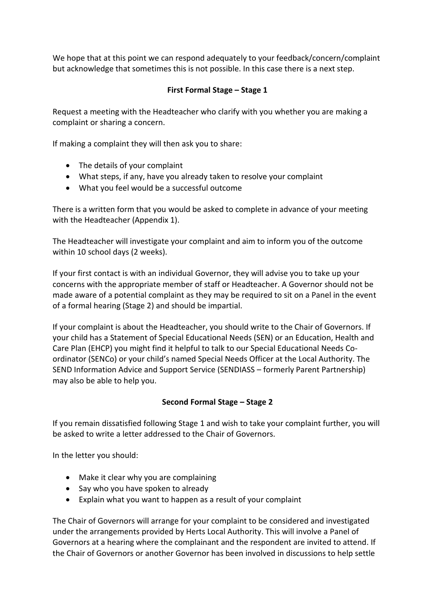We hope that at this point we can respond adequately to your feedback/concern/complaint but acknowledge that sometimes this is not possible. In this case there is a next step.

# **First Formal Stage – Stage 1**

Request a meeting with the Headteacher who clarify with you whether you are making a complaint or sharing a concern.

If making a complaint they will then ask you to share:

- The details of your complaint
- What steps, if any, have you already taken to resolve your complaint
- What you feel would be a successful outcome

There is a written form that you would be asked to complete in advance of your meeting with the Headteacher (Appendix 1).

The Headteacher will investigate your complaint and aim to inform you of the outcome within 10 school days (2 weeks).

If your first contact is with an individual Governor, they will advise you to take up your concerns with the appropriate member of staff or Headteacher. A Governor should not be made aware of a potential complaint as they may be required to sit on a Panel in the event of a formal hearing (Stage 2) and should be impartial.

If your complaint is about the Headteacher, you should write to the Chair of Governors. If your child has a Statement of Special Educational Needs (SEN) or an Education, Health and Care Plan (EHCP) you might find it helpful to talk to our Special Educational Needs Coordinator (SENCo) or your child's named Special Needs Officer at the Local Authority. The SEND Information Advice and Support Service (SENDIASS – formerly Parent Partnership) may also be able to help you.

# **Second Formal Stage – Stage 2**

If you remain dissatisfied following Stage 1 and wish to take your complaint further, you will be asked to write a letter addressed to the Chair of Governors.

In the letter you should:

- Make it clear why you are complaining
- Say who you have spoken to already
- Explain what you want to happen as a result of your complaint

The Chair of Governors will arrange for your complaint to be considered and investigated under the arrangements provided by Herts Local Authority. This will involve a Panel of Governors at a hearing where the complainant and the respondent are invited to attend. If the Chair of Governors or another Governor has been involved in discussions to help settle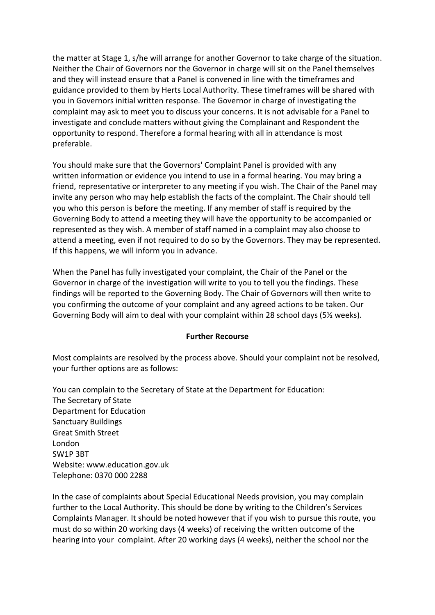the matter at Stage 1, s/he will arrange for another Governor to take charge of the situation. Neither the Chair of Governors nor the Governor in charge will sit on the Panel themselves and they will instead ensure that a Panel is convened in line with the timeframes and guidance provided to them by Herts Local Authority. These timeframes will be shared with you in Governors initial written response. The Governor in charge of investigating the complaint may ask to meet you to discuss your concerns. It is not advisable for a Panel to investigate and conclude matters without giving the Complainant and Respondent the opportunity to respond. Therefore a formal hearing with all in attendance is most preferable.

You should make sure that the Governors' Complaint Panel is provided with any written information or evidence you intend to use in a formal hearing. You may bring a friend, representative or interpreter to any meeting if you wish. The Chair of the Panel may invite any person who may help establish the facts of the complaint. The Chair should tell you who this person is before the meeting. If any member of staff is required by the Governing Body to attend a meeting they will have the opportunity to be accompanied or represented as they wish. A member of staff named in a complaint may also choose to attend a meeting, even if not required to do so by the Governors. They may be represented. If this happens, we will inform you in advance.

When the Panel has fully investigated your complaint, the Chair of the Panel or the Governor in charge of the investigation will write to you to tell you the findings. These findings will be reported to the Governing Body. The Chair of Governors will then write to you confirming the outcome of your complaint and any agreed actions to be taken. Our Governing Body will aim to deal with your complaint within 28 school days (5½ weeks).

## **Further Recourse**

Most complaints are resolved by the process above. Should your complaint not be resolved, your further options are as follows:

You can complain to the Secretary of State at the Department for Education: The Secretary of State Department for Education Sanctuary Buildings Great Smith Street London SW1P 3BT Website: www.education.gov.uk Telephone: 0370 000 2288

In the case of complaints about Special Educational Needs provision, you may complain further to the Local Authority. This should be done by writing to the Children's Services Complaints Manager. It should be noted however that if you wish to pursue this route, you must do so within 20 working days (4 weeks) of receiving the written outcome of the hearing into your complaint. After 20 working days (4 weeks), neither the school nor the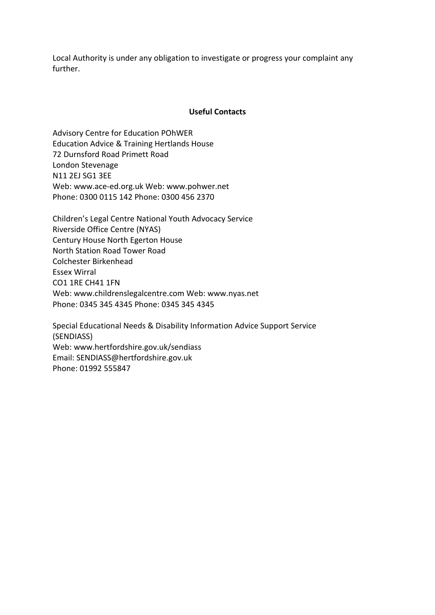Local Authority is under any obligation to investigate or progress your complaint any further.

#### **Useful Contacts**

Advisory Centre for Education POhWER Education Advice & Training Hertlands House 72 Durnsford Road Primett Road London Stevenage N11 2EJ SG1 3EE Web: www.ace-ed.org.uk Web: www.pohwer.net Phone: 0300 0115 142 Phone: 0300 456 2370

Children's Legal Centre National Youth Advocacy Service Riverside Office Centre (NYAS) Century House North Egerton House North Station Road Tower Road Colchester Birkenhead Essex Wirral CO1 1RE CH41 1FN Web: www.childrenslegalcentre.com Web: www.nyas.net Phone: 0345 345 4345 Phone: 0345 345 4345

Special Educational Needs & Disability Information Advice Support Service (SENDIASS) Web: www.hertfordshire.gov.uk/sendiass Email: SENDIASS@hertfordshire.gov.uk Phone: 01992 555847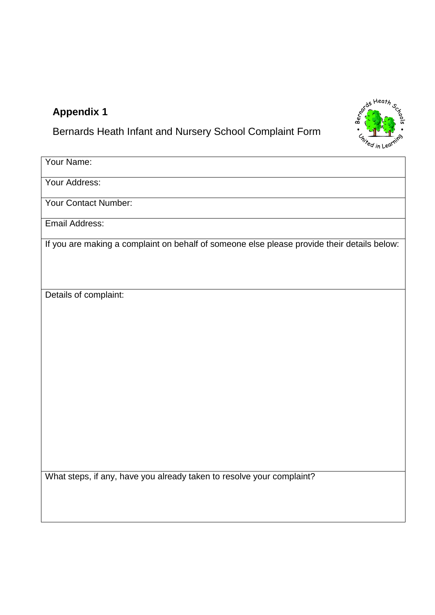# **Appendix 1**

Bernards Heath Infant and Nursery School Complaint Form



| Your Name:                                                                                  |
|---------------------------------------------------------------------------------------------|
| Your Address:                                                                               |
| Your Contact Number:                                                                        |
| <b>Email Address:</b>                                                                       |
| If you are making a complaint on behalf of someone else please provide their details below: |
| Details of complaint:                                                                       |

What steps, if any, have you already taken to resolve your complaint?